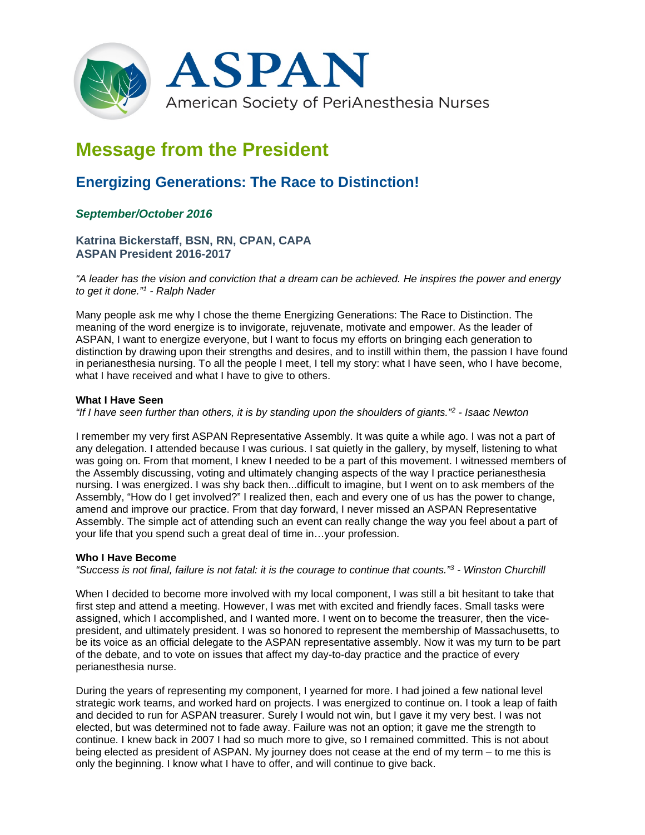

# **Message from the President**

## **Energizing Generations: The Race to Distinction!**

### *September/October 2016*

**Katrina Bickerstaff, BSN, RN, CPAN, CAPA ASPAN President 2016-2017**

*"A leader has the vision and conviction that a dream can be achieved. He inspires the power and energy to get it done."1 - Ralph Nader*

Many people ask me why I chose the theme Energizing Generations: The Race to Distinction. The meaning of the word energize is to invigorate, rejuvenate, motivate and empower. As the leader of ASPAN, I want to energize everyone, but I want to focus my efforts on bringing each generation to distinction by drawing upon their strengths and desires, and to instill within them, the passion I have found in perianesthesia nursing. To all the people I meet, I tell my story: what I have seen, who I have become, what I have received and what I have to give to others.

#### **What I Have Seen**

*"If I have seen further than others, it is by standing upon the shoulders of giants."2 - Isaac Newton*

I remember my very first ASPAN Representative Assembly. It was quite a while ago. I was not a part of any delegation. I attended because I was curious. I sat quietly in the gallery, by myself, listening to what was going on. From that moment, I knew I needed to be a part of this movement. I witnessed members of the Assembly discussing, voting and ultimately changing aspects of the way I practice perianesthesia nursing. I was energized. I was shy back then...difficult to imagine, but I went on to ask members of the Assembly, "How do I get involved?" I realized then, each and every one of us has the power to change, amend and improve our practice. From that day forward, I never missed an ASPAN Representative Assembly. The simple act of attending such an event can really change the way you feel about a part of your life that you spend such a great deal of time in…your profession.

#### **Who I Have Become**

*"Success is not final, failure is not fatal: it is the courage to continue that counts."3 - Winston Churchill*

When I decided to become more involved with my local component, I was still a bit hesitant to take that first step and attend a meeting. However, I was met with excited and friendly faces. Small tasks were assigned, which I accomplished, and I wanted more. I went on to become the treasurer, then the vicepresident, and ultimately president. I was so honored to represent the membership of Massachusetts, to be its voice as an official delegate to the ASPAN representative assembly. Now it was my turn to be part of the debate, and to vote on issues that affect my day-to-day practice and the practice of every perianesthesia nurse.

During the years of representing my component, I yearned for more. I had joined a few national level strategic work teams, and worked hard on projects. I was energized to continue on. I took a leap of faith and decided to run for ASPAN treasurer. Surely I would not win, but I gave it my very best. I was not elected, but was determined not to fade away. Failure was not an option; it gave me the strength to continue. I knew back in 2007 I had so much more to give, so I remained committed. This is not about being elected as president of ASPAN. My journey does not cease at the end of my term – to me this is only the beginning. I know what I have to offer, and will continue to give back.